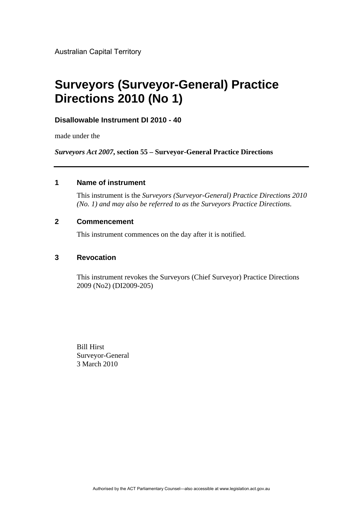Australian Capital Territory

# **Surveyors (Surveyor-General) Practice Directions 2010 (No 1)**

## **Disallowable Instrument DI 2010 - 40**

made under the

*Surveyors Act 2007***, section 55 – Surveyor-General Practice Directions**

## **1 Name of instrument**

This instrument is the *Surveyors (Surveyor-General) Practice Directions 2010 (No. 1) and may also be referred to as the Surveyors Practice Directions.*

## **2 Commencement**

This instrument commences on the day after it is notified.

## **3 Revocation**

This instrument revokes the Surveyors (Chief Surveyor) Practice Directions 2009 (No2) (DI2009-205)

Bill Hirst Surveyor-General 3 March 2010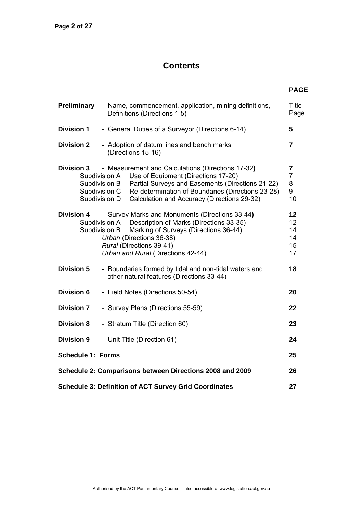## **Contents**

| <b>Preliminary</b>                                                    | - Name, commencement, application, mining definitions,<br>Definitions (Directions 1-5)                                                                                                                                                                                                                               |                                                           |  |  |  |
|-----------------------------------------------------------------------|----------------------------------------------------------------------------------------------------------------------------------------------------------------------------------------------------------------------------------------------------------------------------------------------------------------------|-----------------------------------------------------------|--|--|--|
| <b>Division 1</b><br>- General Duties of a Surveyor (Directions 6-14) |                                                                                                                                                                                                                                                                                                                      |                                                           |  |  |  |
| <b>Division 2</b>                                                     | - Adoption of datum lines and bench marks<br>(Directions 15-16)                                                                                                                                                                                                                                                      | $\overline{7}$                                            |  |  |  |
| <b>Division 3</b>                                                     | - Measurement and Calculations (Directions 17-32)<br>Use of Equipment (Directions 17-20)<br>Subdivision A<br>Partial Surveys and Easements (Directions 21-22)<br>Subdivision B<br>Re-determination of Boundaries (Directions 23-28)<br>Subdivision C<br>Calculation and Accuracy (Directions 29-32)<br>Subdivision D | $\overline{\mathbf{7}}$<br>$\overline{7}$<br>8<br>9<br>10 |  |  |  |
| <b>Division 4</b>                                                     | - Survey Marks and Monuments (Directions 33-44)<br>Subdivision A Description of Marks (Directions 33-35)<br>Subdivision B<br>Marking of Surveys (Directions 36-44)<br>Urban (Directions 36-38)<br>Rural (Directions 39-41)<br>Urban and Rural (Directions 42-44)                                                     | 12<br>12<br>14<br>14<br>15<br>17                          |  |  |  |
| <b>Division 5</b>                                                     | - Boundaries formed by tidal and non-tidal waters and<br>other natural features (Directions 33-44)                                                                                                                                                                                                                   | 18                                                        |  |  |  |
| <b>Division 6</b>                                                     | - Field Notes (Directions 50-54)                                                                                                                                                                                                                                                                                     | 20                                                        |  |  |  |
| <b>Division 7</b>                                                     | - Survey Plans (Directions 55-59)                                                                                                                                                                                                                                                                                    | 22                                                        |  |  |  |
| <b>Division 8</b>                                                     | - Stratum Title (Direction 60)                                                                                                                                                                                                                                                                                       | 23                                                        |  |  |  |
| <b>Division 9</b>                                                     | - Unit Title (Direction 61)                                                                                                                                                                                                                                                                                          | 24                                                        |  |  |  |
| <b>Schedule 1: Forms</b>                                              |                                                                                                                                                                                                                                                                                                                      | 25                                                        |  |  |  |
| Schedule 2: Comparisons between Directions 2008 and 2009<br>26        |                                                                                                                                                                                                                                                                                                                      |                                                           |  |  |  |
| <b>Schedule 3: Definition of ACT Survey Grid Coordinates</b>          |                                                                                                                                                                                                                                                                                                                      |                                                           |  |  |  |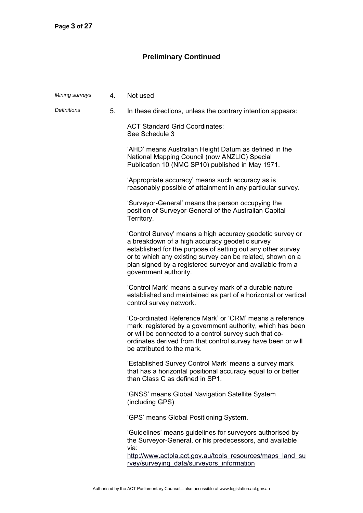## **Preliminary Continued**

| Mining surveys     | 4 <sup>1</sup> | Not used                                                                                                                                                                                                                                                                                                                       |
|--------------------|----------------|--------------------------------------------------------------------------------------------------------------------------------------------------------------------------------------------------------------------------------------------------------------------------------------------------------------------------------|
| <b>Definitions</b> | 5.             | In these directions, unless the contrary intention appears:                                                                                                                                                                                                                                                                    |
|                    |                | <b>ACT Standard Grid Coordinates:</b><br>See Schedule 3                                                                                                                                                                                                                                                                        |
|                    |                | 'AHD' means Australian Height Datum as defined in the<br>National Mapping Council (now ANZLIC) Special<br>Publication 10 (NMC SP10) published in May 1971.                                                                                                                                                                     |
|                    |                | 'Appropriate accuracy' means such accuracy as is<br>reasonably possible of attainment in any particular survey.                                                                                                                                                                                                                |
|                    |                | 'Surveyor-General' means the person occupying the<br>position of Surveyor-General of the Australian Capital<br>Territory.                                                                                                                                                                                                      |
|                    |                | 'Control Survey' means a high accuracy geodetic survey or<br>a breakdown of a high accuracy geodetic survey<br>established for the purpose of setting out any other survey<br>or to which any existing survey can be related, shown on a<br>plan signed by a registered surveyor and available from a<br>government authority. |
|                    |                | 'Control Mark' means a survey mark of a durable nature<br>established and maintained as part of a horizontal or vertical<br>control survey network.                                                                                                                                                                            |
|                    |                | 'Co-ordinated Reference Mark' or 'CRM' means a reference<br>mark, registered by a government authority, which has been<br>or will be connected to a control survey such that co-<br>ordinates derived from that control survey have been or will<br>be attributed to the mark.                                                 |
|                    |                | 'Established Survey Control Mark' means a survey mark<br>that has a horizontal positional accuracy equal to or better<br>than Class C as defined in SP1.                                                                                                                                                                       |
|                    |                | 'GNSS' means Global Navigation Satellite System<br>(including GPS)                                                                                                                                                                                                                                                             |
|                    |                | 'GPS' means Global Positioning System.                                                                                                                                                                                                                                                                                         |
|                    |                | 'Guidelines' means guidelines for surveyors authorised by<br>the Surveyor-General, or his predecessors, and available<br>via:<br>http://www.actpla.act.gov.au/tools resources/maps land su<br>rvey/surveying data/surveyors information                                                                                        |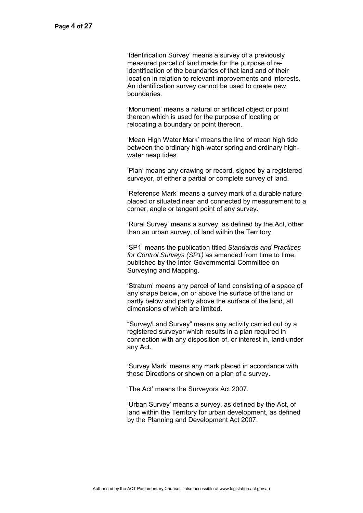'Identification Survey' means a survey of a previously measured parcel of land made for the purpose of reidentification of the boundaries of that land and of their location in relation to relevant improvements and interests. An identification survey cannot be used to create new boundaries.

 'Monument' means a natural or artificial object or point thereon which is used for the purpose of locating or relocating a boundary or point thereon.

 'Mean High Water Mark' means the line of mean high tide between the ordinary high-water spring and ordinary highwater neap tides.

 'Plan' means any drawing or record, signed by a registered surveyor, of either a partial or complete survey of land.

 'Reference Mark' means a survey mark of a durable nature placed or situated near and connected by measurement to a corner, angle or tangent point of any survey.

 'Rural Survey' means a survey, as defined by the Act, other than an urban survey, of land within the Territory.

 'SP1' means the publication titled *Standards and Practices for Control Surveys (SP1)* as amended from time to time, published by the Inter-Governmental Committee on Surveying and Mapping.

 'Stratum' means any parcel of land consisting of a space of any shape below, on or above the surface of the land or partly below and partly above the surface of the land, all dimensions of which are limited.

 "Survey/Land Survey" means any activity carried out by a registered surveyor which results in a plan required in connection with any disposition of, or interest in, land under any Act.

 'Survey Mark' means any mark placed in accordance with these Directions or shown on a plan of a survey.

'The Act' means the Surveyors Act 2007.

 'Urban Survey' means a survey, as defined by the Act, of land within the Territory for urban development, as defined by the Planning and Development Act 2007.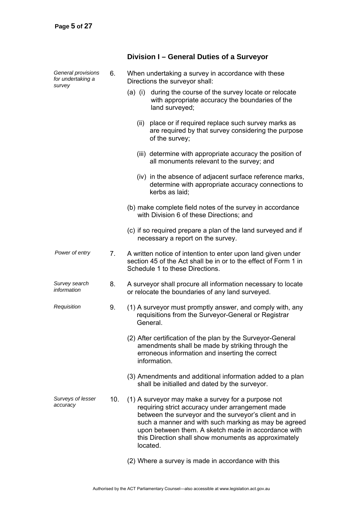## *General provisions for undertaking a survey*  6. When undertaking a survey in accordance with these Directions the surveyor shall: (a) (i) during the course of the survey locate or relocate with appropriate accuracy the boundaries of the land surveyed; (ii) place or if required replace such survey marks as are required by that survey considering the purpose of the survey; (iii) determine with appropriate accuracy the position of all monuments relevant to the survey; and (iv) in the absence of adjacent surface reference marks, determine with appropriate accuracy connections to kerbs as laid; (b) make complete field notes of the survey in accordance with Division 6 of these Directions; and (c) if so required prepare a plan of the land surveyed and if necessary a report on the survey. *Power of entry* 7. A written notice of intention to enter upon land given under section 45 of the Act shall be in or to the effect of Form 1 in Schedule 1 to these Directions. *Survey search information*  8. A surveyor shall procure all information necessary to locate or relocate the boundaries of any land surveyed. *Requisition* 9. (1) A surveyor must promptly answer, and comply with, any requisitions from the Surveyor-General or Registrar General. (2) After certification of the plan by the Surveyor-General amendments shall be made by striking through the erroneous information and inserting the correct information. (3) Amendments and additional information added to a plan shall be initialled and dated by the surveyor. *Surveys of lesser accuracy*  10. (1) A surveyor may make a survey for a purpose not requiring strict accuracy under arrangement made between the surveyor and the surveyor's client and in such a manner and with such marking as may be agreed upon between them. A sketch made in accordance with this Direction shall show monuments as approximately located. (2) Where a survey is made in accordance with this

**Division I – General Duties of a Surveyor**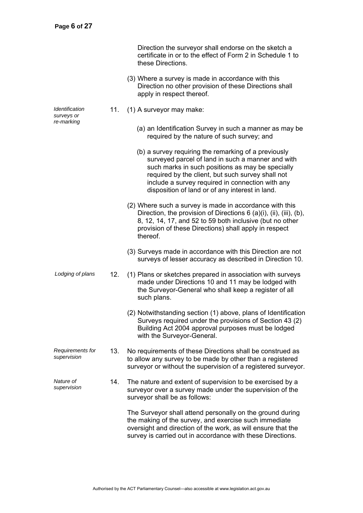|                                 |     | Direction the surveyor shall endorse on the sketch a<br>certificate in or to the effect of Form 2 in Schedule 1 to<br>these Directions.                                                                                                                                                                                   |
|---------------------------------|-----|---------------------------------------------------------------------------------------------------------------------------------------------------------------------------------------------------------------------------------------------------------------------------------------------------------------------------|
|                                 |     | (3) Where a survey is made in accordance with this<br>Direction no other provision of these Directions shall<br>apply in respect thereof.                                                                                                                                                                                 |
| Identification<br>surveys or    | 11. | (1) A surveyor may make:                                                                                                                                                                                                                                                                                                  |
| re-marking                      |     | (a) an Identification Survey in such a manner as may be<br>required by the nature of such survey; and                                                                                                                                                                                                                     |
|                                 |     | (b) a survey requiring the remarking of a previously<br>surveyed parcel of land in such a manner and with<br>such marks in such positions as may be specially<br>required by the client, but such survey shall not<br>include a survey required in connection with any<br>disposition of land or of any interest in land. |
|                                 |     | (2) Where such a survey is made in accordance with this<br>Direction, the provision of Directions $6$ (a)(i), (ii), (iii), (b),<br>8, 12, 14, 17, and 52 to 59 both inclusive (but no other<br>provision of these Directions) shall apply in respect<br>thereof.                                                          |
|                                 |     | (3) Surveys made in accordance with this Direction are not<br>surveys of lesser accuracy as described in Direction 10.                                                                                                                                                                                                    |
| Lodging of plans                | 12. | (1) Plans or sketches prepared in association with surveys<br>made under Directions 10 and 11 may be lodged with<br>the Surveyor-General who shall keep a register of all<br>such plans.                                                                                                                                  |
|                                 |     | (2) Notwithstanding section (1) above, plans of Identification<br>Surveys required under the provisions of Section 43 (2)<br>Building Act 2004 approval purposes must be lodged<br>with the Surveyor-General.                                                                                                             |
| Requirements for<br>supervision | 13. | No requirements of these Directions shall be construed as<br>to allow any survey to be made by other than a registered<br>surveyor or without the supervision of a registered surveyor.                                                                                                                                   |
| Nature of<br>supervision        | 14. | The nature and extent of supervision to be exercised by a<br>surveyor over a survey made under the supervision of the<br>surveyor shall be as follows:                                                                                                                                                                    |
|                                 |     | The Surveyor shall attend personally on the ground during<br>the making of the survey, and exercise such immediate<br>oversight and direction of the work, as will ensure that the<br>survey is carried out in accordance with these Directions.                                                                          |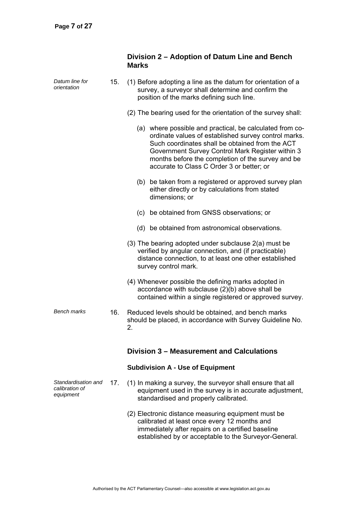|                                                    |     | Division 2 – Adoption of Datum Line and Bench<br><b>Marks</b>                                                                                                                                                                                                                                                             |  |  |  |  |
|----------------------------------------------------|-----|---------------------------------------------------------------------------------------------------------------------------------------------------------------------------------------------------------------------------------------------------------------------------------------------------------------------------|--|--|--|--|
| Datum line for<br>orientation                      | 15. | (1) Before adopting a line as the datum for orientation of a<br>survey, a surveyor shall determine and confirm the<br>position of the marks defining such line.                                                                                                                                                           |  |  |  |  |
|                                                    |     | (2) The bearing used for the orientation of the survey shall:                                                                                                                                                                                                                                                             |  |  |  |  |
|                                                    |     | (a) where possible and practical, be calculated from co-<br>ordinate values of established survey control marks.<br>Such coordinates shall be obtained from the ACT<br>Government Survey Control Mark Register within 3<br>months before the completion of the survey and be<br>accurate to Class C Order 3 or better; or |  |  |  |  |
|                                                    |     | (b) be taken from a registered or approved survey plan<br>either directly or by calculations from stated<br>dimensions; or                                                                                                                                                                                                |  |  |  |  |
|                                                    |     | (c) be obtained from GNSS observations; or                                                                                                                                                                                                                                                                                |  |  |  |  |
|                                                    |     | (d) be obtained from astronomical observations.                                                                                                                                                                                                                                                                           |  |  |  |  |
|                                                    |     | (3) The bearing adopted under subclause 2(a) must be<br>verified by angular connection, and (if practicable)<br>distance connection, to at least one other established<br>survey control mark.                                                                                                                            |  |  |  |  |
|                                                    |     | (4) Whenever possible the defining marks adopted in<br>accordance with subclause (2)(b) above shall be<br>contained within a single registered or approved survey.                                                                                                                                                        |  |  |  |  |
| <b>Bench marks</b>                                 | 16. | Reduced levels should be obtained, and bench marks<br>should be placed, in accordance with Survey Guideline No.<br>2.                                                                                                                                                                                                     |  |  |  |  |
|                                                    |     | Division 3 – Measurement and Calculations                                                                                                                                                                                                                                                                                 |  |  |  |  |
|                                                    |     | <b>Subdivision A - Use of Equipment</b>                                                                                                                                                                                                                                                                                   |  |  |  |  |
| Standardisation and<br>calibration of<br>equipment | 17. | (1) In making a survey, the surveyor shall ensure that all<br>equipment used in the survey is in accurate adjustment,<br>standardised and properly calibrated.                                                                                                                                                            |  |  |  |  |
|                                                    |     | (2) Electronic distance measuring equipment must be<br>calibrated at least once every 12 months and<br>immediately after repairs on a certified baseline<br>established by or acceptable to the Surveyor-General.                                                                                                         |  |  |  |  |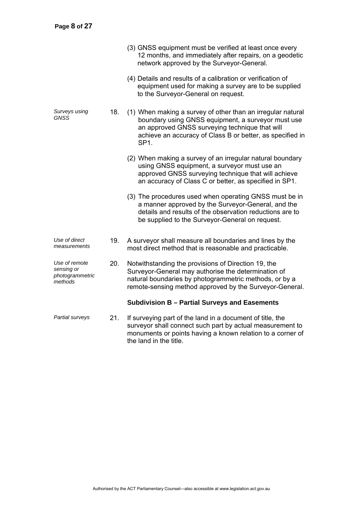|                                                           |     | (3) GNSS equipment must be verified at least once every<br>12 months, and immediately after repairs, on a geodetic<br>network approved by the Surveyor-General.                                                                                       |
|-----------------------------------------------------------|-----|-------------------------------------------------------------------------------------------------------------------------------------------------------------------------------------------------------------------------------------------------------|
|                                                           |     | (4) Details and results of a calibration or verification of<br>equipment used for making a survey are to be supplied<br>to the Surveyor-General on request.                                                                                           |
| Surveys using<br>GNSS                                     | 18. | (1) When making a survey of other than an irregular natural<br>boundary using GNSS equipment, a surveyor must use<br>an approved GNSS surveying technique that will<br>achieve an accuracy of Class B or better, as specified in<br>SP <sub>1</sub> . |
|                                                           |     | (2) When making a survey of an irregular natural boundary<br>using GNSS equipment, a surveyor must use an<br>approved GNSS surveying technique that will achieve<br>an accuracy of Class C or better, as specified in SP1.                            |
|                                                           |     | (3) The procedures used when operating GNSS must be in<br>a manner approved by the Surveyor-General, and the<br>details and results of the observation reductions are to<br>be supplied to the Surveyor-General on request.                           |
| Use of direct<br>measurements                             | 19. | A surveyor shall measure all boundaries and lines by the<br>most direct method that is reasonable and practicable.                                                                                                                                    |
| Use of remote<br>sensing or<br>photogrammetric<br>methods | 20. | Notwithstanding the provisions of Direction 19, the<br>Surveyor-General may authorise the determination of<br>natural boundaries by photogrammetric methods, or by a<br>remote-sensing method approved by the Surveyor-General.                       |
|                                                           |     | Subdivision B - Partial Surveys and Easements                                                                                                                                                                                                         |
| Partial surveys                                           | 21. | If surveying part of the land in a document of title, the<br>surveyor shall connect such part by actual measurement to<br>monuments or points having a known relation to a corner of<br>the land in the title.                                        |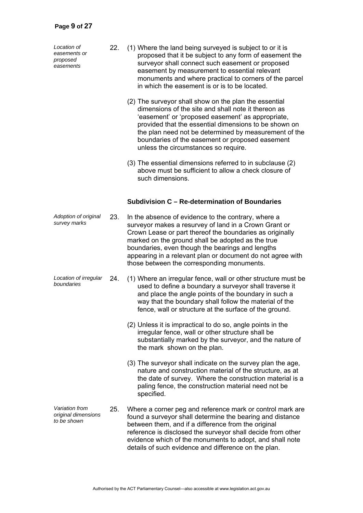*Location of easements or proposed easements* 

- 22. (1) Where the land being surveyed is subject to or it is proposed that it be subject to any form of easement the surveyor shall connect such easement or proposed easement by measurement to essential relevant monuments and where practical to corners of the parcel in which the easement is or is to be located.
	- (2) The surveyor shall show on the plan the essential dimensions of the site and shall note it thereon as 'easement' or 'proposed easement' as appropriate, provided that the essential dimensions to be shown on the plan need not be determined by measurement of the boundaries of the easement or proposed easement unless the circumstances so require.
	- (3) The essential dimensions referred to in subclause (2) above must be sufficient to allow a check closure of such dimensions.

## **Subdivision C – Re-determination of Boundaries**

- *Adoption of original*  23. In the absence of evidence to the contrary, where a surveyor makes a resurvey of land in a Crown Grant or Crown Lease or part thereof the boundaries as originally marked on the ground shall be adopted as the true boundaries, even though the bearings and lengths appearing in a relevant plan or document do not agree with those between the corresponding monuments.
- *Location of irregular boundaries* 24. (1) Where an irregular fence, wall or other structure must be used to define a boundary a surveyor shall traverse it and place the angle points of the boundary in such a way that the boundary shall follow the material of the fence, wall or structure at the surface of the ground.
	- (2) Unless it is impractical to do so, angle points in the irregular fence, wall or other structure shall be substantially marked by the surveyor, and the nature of the mark shown on the plan.
	- (3) The surveyor shall indicate on the survey plan the age, nature and construction material of the structure, as at the date of survey. Where the construction material is a paling fence, the construction material need not be specified.
- *Variation from original dimensions to be shown*  25. Where a corner peg and reference mark or control mark are found a surveyor shall determine the bearing and distance between them, and if a difference from the original reference is disclosed the surveyor shall decide from other evidence which of the monuments to adopt, and shall note details of such evidence and difference on the plan.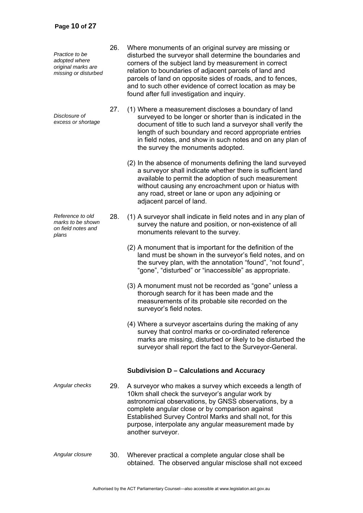*Practice to be adopted where original marks are missing or disturbed* 

*Disclosure of excess or shortage*

*Reference to old marks to be shown on field notes and plans* 

- 26. Where monuments of an original survey are missing or disturbed the surveyor shall determine the boundaries and corners of the subject land by measurement in correct relation to boundaries of adjacent parcels of land and parcels of land on opposite sides of roads, and to fences, and to such other evidence of correct location as may be found after full investigation and inquiry.
- 27. (1) Where a measurement discloses a boundary of land surveyed to be longer or shorter than is indicated in the document of title to such land a surveyor shall verify the length of such boundary and record appropriate entries in field notes, and show in such notes and on any plan of the survey the monuments adopted.
	- (2) In the absence of monuments defining the land surveyed a surveyor shall indicate whether there is sufficient land available to permit the adoption of such measurement without causing any encroachment upon or hiatus with any road, street or lane or upon any adjoining or adjacent parcel of land.
- 28. (1) A surveyor shall indicate in field notes and in any plan of survey the nature and position, or non-existence of all monuments relevant to the survey.
	- (2) A monument that is important for the definition of the land must be shown in the surveyor's field notes, and on the survey plan, with the annotation "found", "not found", "gone", "disturbed" or "inaccessible" as appropriate.
	- (3) A monument must not be recorded as "gone" unless a thorough search for it has been made and the measurements of its probable site recorded on the surveyor's field notes.
	- (4) Where a surveyor ascertains during the making of any survey that control marks or co-ordinated reference marks are missing, disturbed or likely to be disturbed the surveyor shall report the fact to the Surveyor-General.

## **Subdivision D – Calculations and Accuracy**

- *Angular checks* 29. A surveyor who makes a survey which exceeds a length of 10km shall check the surveyor's angular work by astronomical observations, by GNSS observations, by a complete angular close or by comparison against Established Survey Control Marks and shall not, for this purpose, interpolate any angular measurement made by another surveyor.
- *Angular closure* 30. Wherever practical a complete angular close shall be obtained. The observed angular misclose shall not exceed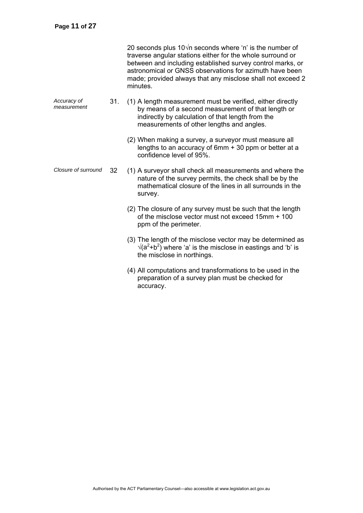|                            |     | 20 seconds plus $10\sqrt{n}$ seconds where 'n' is the number of<br>traverse angular stations either for the whole surround or<br>between and including established survey control marks, or<br>astronomical or GNSS observations for azimuth have been<br>made; provided always that any misclose shall not exceed 2<br>minutes. |
|----------------------------|-----|----------------------------------------------------------------------------------------------------------------------------------------------------------------------------------------------------------------------------------------------------------------------------------------------------------------------------------|
| Accuracy of<br>measurement | 31. | (1) A length measurement must be verified, either directly<br>by means of a second measurement of that length or<br>indirectly by calculation of that length from the<br>measurements of other lengths and angles.                                                                                                               |
|                            |     | (2) When making a survey, a surveyor must measure all<br>lengths to an accuracy of 6mm + 30 ppm or better at a<br>confidence level of 95%.                                                                                                                                                                                       |
| Closure of surround        | 32  | (1) A surveyor shall check all measurements and where the<br>nature of the survey permits, the check shall be by the<br>mathematical closure of the lines in all surrounds in the<br>survey.                                                                                                                                     |
|                            |     | (2) The closure of any survey must be such that the length<br>of the misclose vector must not exceed 15mm + 100<br>ppm of the perimeter.                                                                                                                                                                                         |
|                            |     | (3) The length of the misclose vector may be determined as<br>$\sqrt{(a^2+b^2)}$ where 'a' is the misclose in eastings and 'b' is<br>the misclose in northings.                                                                                                                                                                  |
|                            |     | (4) All computations and transformations to be used in the<br>preparation of a survey plan must be checked for<br>accuracy.                                                                                                                                                                                                      |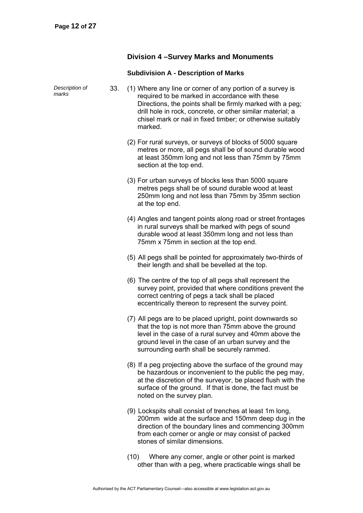## **Division 4 –Survey Marks and Monuments**

## **Subdivision A - Description of Marks**

| Description of<br>marks | 33. | (1) Where any line or corner of any portion of a survey is<br>required to be marked in accordance with these<br>Directions, the points shall be firmly marked with a peg;<br>drill hole in rock, concrete, or other similar material; a<br>chisel mark or nail in fixed timber; or otherwise suitably<br>marked. |
|-------------------------|-----|------------------------------------------------------------------------------------------------------------------------------------------------------------------------------------------------------------------------------------------------------------------------------------------------------------------|
|                         |     | (2) For rural surveys, or surveys of blocks of 5000 square<br>metres or more, all pegs shall be of sound durable wood<br>at least 350mm long and not less than 75mm by 75mm<br>section at the top end.                                                                                                           |
|                         |     | (3) For urban surveys of blocks less than 5000 square<br>metres pegs shall be of sound durable wood at least<br>250mm long and not less than 75mm by 35mm section<br>at the top end.                                                                                                                             |
|                         |     | (4) Angles and tangent points along road or street frontages<br>in rural surveys shall be marked with pegs of sound<br>durable wood at least 350mm long and not less than<br>75mm x 75mm in section at the top end.                                                                                              |
|                         |     | (5) All pegs shall be pointed for approximately two-thirds of<br>their length and shall be bevelled at the top.                                                                                                                                                                                                  |
|                         |     | (6) The centre of the top of all pegs shall represent the<br>survey point, provided that where conditions prevent the<br>correct centring of pegs a tack shall be placed<br>eccentrically thereon to represent the survey point.                                                                                 |
|                         |     | (7) All pegs are to be placed upright, point downwards so<br>that the top is not more than 75mm above the ground<br>level in the case of a rural survey and 40mm above the<br>ground level in the case of an urban survey and the<br>surrounding earth shall be securely rammed.                                 |
|                         |     | (8) If a peg projecting above the surface of the ground may<br>be hazardous or inconvenient to the public the peg may,<br>at the discretion of the surveyor, be placed flush with the<br>surface of the ground. If that is done, the fact must be<br>noted on the survey plan.                                   |
|                         |     | (9) Lockspits shall consist of trenches at least 1m long,<br>200mm wide at the surface and 150mm deep dug in the<br>direction of the boundary lines and commencing 300mm<br>from each corner or angle or may consist of packed<br>stones of similar dimensions.                                                  |

 (10) Where any corner, angle or other point is marked other than with a peg, where practicable wings shall be

Authorised by the ACT Parliamentary Counsel—also accessible at www.legislation.act.gov.au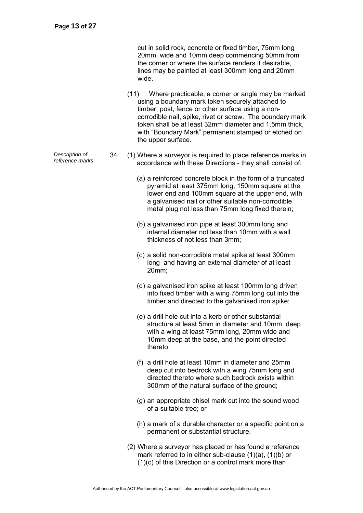cut in solid rock, concrete or fixed timber, 75mm long 20mm wide and 10mm deep commencing 50mm from the corner or where the surface renders it desirable, lines may be painted at least 300mm long and 20mm wide.

- (11) Where practicable, a corner or angle may be marked using a boundary mark token securely attached to timber, post, fence or other surface using a noncorrodible nail, spike, rivet or screw. The boundary mark token shall be at least 32mm diameter and 1.5mm thick, with "Boundary Mark" permanent stamped or etched on the upper surface.
- *Pescription of* 34. (1) Where a surveyor is required to place reference marks in reference marks in 2000 2000 2000 with these Directions they chall consist of accordance with these Directions - they shall consist of:
	- (a) a reinforced concrete block in the form of a truncated pyramid at least 375mm long, 150mm square at the lower end and 100mm square at the upper end, with a galvanised nail or other suitable non-corrodible metal plug not less than 75mm long fixed therein;
	- (b) a galvanised iron pipe at least 300mm long and internal diameter not less than 10mm with a wall thickness of not less than 3mm;
	- (c) a solid non-corrodible metal spike at least 300mm long and having an external diameter of at least 20mm;
	- (d) a galvanised iron spike at least 100mm long driven into fixed timber with a wing 75mm long cut into the timber and directed to the galvanised iron spike;
	- (e) a drill hole cut into a kerb or other substantial structure at least 5mm in diameter and 10mm deep with a wing at least 75mm long, 20mm wide and 10mm deep at the base, and the point directed thereto;
	- (f) a drill hole at least 10mm in diameter and 25mm deep cut into bedrock with a wing 75mm long and directed thereto where such bedrock exists within 300mm of the natural surface of the ground;
	- (g) an appropriate chisel mark cut into the sound wood of a suitable tree; or
	- (h) a mark of a durable character or a specific point on a permanent or substantial structure.
	- (2) Where a surveyor has placed or has found a reference mark referred to in either sub-clause (1)(a), (1)(b) or (1)(c) of this Direction or a control mark more than

*Description of*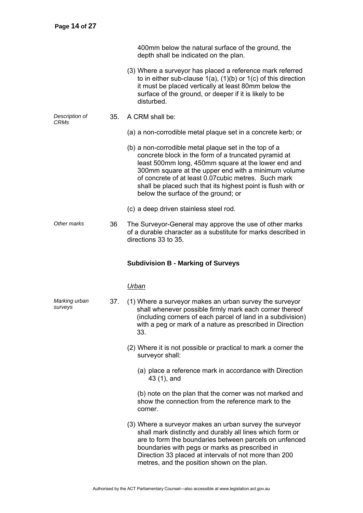*surveys* 

| 400mm below the natural surface of the ground, the |  |
|----------------------------------------------------|--|
| depth shall be indicated on the plan.              |  |

- (3) Where a surveyor has placed a reference mark referred to in either sub-clause 1(a), (1)(b) or 1(c) of this direction it must be placed vertically at least 80mm below the surface of the ground, or deeper if it is likely to be disturbed.
- *Description of CRMs*  35. A CRM shall be:
	- (a) a non-corrodible metal plaque set in a concrete kerb; or
	- (b) a non-corrodible metal plaque set in the top of a concrete block in the form of a truncated pyramid at least 500mm long, 450mm square at the lower end and 300mm square at the upper end with a minimum volume of concrete of at least 0.07cubic metres. Such mark shall be placed such that its highest point is flush with or below the surface of the ground; or
	- (c) a deep driven stainless steel rod.
- *Other marks* 36 The Surveyor-General may approve the use of other marks of a durable character as a substitute for marks described in directions 33 to 35.

#### **Subdivision B - Marking of Surveys**

#### *Urban*

- *Marking urban*  37. (1) Where a surveyor makes an urban survey the surveyor shall whenever possible firmly mark each corner thereof (including corners of each parcel of land in a subdivision) with a peg or mark of a nature as prescribed in Direction 33.
	- (2) Where it is not possible or practical to mark a corner the surveyor shall:
		- (a) place a reference mark in accordance with Direction 43 (1), and

(b) note on the plan that the corner was not marked and show the connection from the reference mark to the corner.

 (3) Where a surveyor makes an urban survey the surveyor shall mark distinctly and durably all lines which form or are to form the boundaries between parcels on unfenced boundaries with pegs or marks as prescribed in Direction 33 placed at intervals of not more than 200 metres, and the position shown on the plan.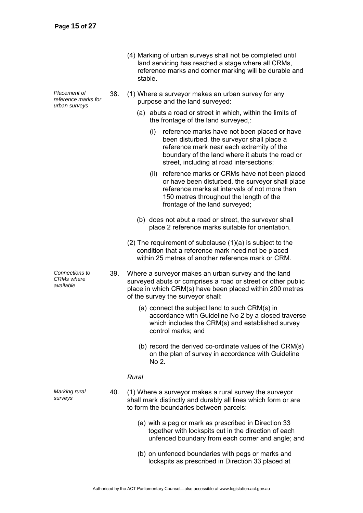- (4) Marking of urban surveys shall not be completed until land servicing has reached a stage where all CRMs, reference marks and corner marking will be durable and stable.
- 38. (1) Where a surveyor makes an urban survey for any purpose and the land surveyed:
	- (a) abuts a road or street in which, within the limits of the frontage of the land surveyed,:
		- (i) reference marks have not been placed or have been disturbed, the surveyor shall place a reference mark near each extremity of the boundary of the land where it abuts the road or street, including at road intersections;
		- (ii) reference marks or CRMs have not been placed or have been disturbed, the surveyor shall place reference marks at intervals of not more than 150 metres throughout the length of the frontage of the land surveyed;
	- (b) does not abut a road or street, the surveyor shall place 2 reference marks suitable for orientation.
	- (2) The requirement of subclause (1)(a) is subject to the condition that a reference mark need not be placed within 25 metres of another reference mark or CRM
- 39. Where a surveyor makes an urban survey and the land surveyed abuts or comprises a road or street or other public place in which CRM(s) have been placed within 200 metres of the survey the surveyor shall:
	- (a) connect the subject land to such CRM(s) in accordance with Guideline No 2 by a closed traverse which includes the CRM(s) and established survey control marks; and
	- (b) record the derived co-ordinate values of the CRM(s) on the plan of survey in accordance with Guideline No 2.

## *Rural*

- 40. (1) Where a surveyor makes a rural survey the surveyor shall mark distinctly and durably all lines which form or are to form the boundaries between parcels:
	- (a) with a peg or mark as prescribed in Direction 33 together with lockspits cut in the direction of each unfenced boundary from each corner and angle; and
	- (b) on unfenced boundaries with pegs or marks and lockspits as prescribed in Direction 33 placed at

*Placement of reference marks for urban surveys* 

*Connections to CRMs where available* 

*Marking rural surveys*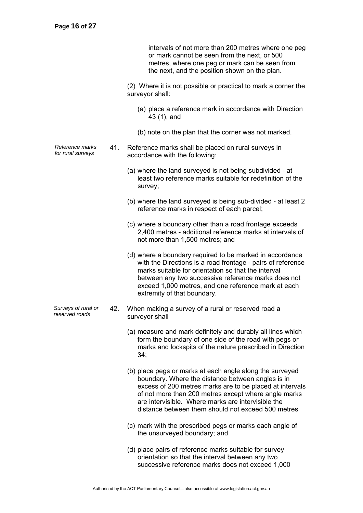intervals of not more than 200 metres where one peg or mark cannot be seen from the next, or 500 metres, where one peg or mark can be seen from the next, and the position shown on the plan.

 (2) Where it is not possible or practical to mark a corner the surveyor shall:

- (a) place a reference mark in accordance with Direction 43 (1), and
- (b) note on the plan that the corner was not marked.
- *Reference marks for rural surveys* 41. Reference marks shall be placed on rural surveys in accordance with the following:
	- (a) where the land surveyed is not being subdivided at least two reference marks suitable for redefinition of the survey;
	- (b) where the land surveyed is being sub-divided at least 2 reference marks in respect of each parcel;
	- (c) where a boundary other than a road frontage exceeds 2,400 metres - additional reference marks at intervals of not more than 1,500 metres; and
	- (d) where a boundary required to be marked in accordance with the Directions is a road frontage - pairs of reference marks suitable for orientation so that the interval between any two successive reference marks does not exceed 1,000 metres, and one reference mark at each extremity of that boundary.
- *Surveys of rural or reserved roads* 42. When making a survey of a rural or reserved road a surveyor shall
	- (a) measure and mark definitely and durably all lines which form the boundary of one side of the road with pegs or marks and lockspits of the nature prescribed in Direction 34;
	- (b) place pegs or marks at each angle along the surveyed boundary. Where the distance between angles is in excess of 200 metres marks are to be placed at intervals of not more than 200 metres except where angle marks are intervisible. Where marks are intervisible the distance between them should not exceed 500 metres
	- (c) mark with the prescribed pegs or marks each angle of the unsurveyed boundary; and
	- (d) place pairs of reference marks suitable for survey orientation so that the interval between any two successive reference marks does not exceed 1,000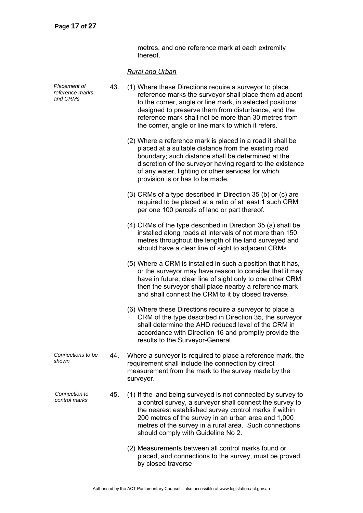metres, and one reference mark at each extremity thereof.

## *Rural and Urban*

| Placement of<br>reference marks<br>and CRMs | 43. | (1) Where these Directions require a surveyor to place<br>reference marks the surveyor shall place them adjacent<br>to the corner, angle or line mark, in selected positions<br>designed to preserve them from disturbance, and the<br>reference mark shall not be more than 30 metres from<br>the corner, angle or line mark to which it refers. |
|---------------------------------------------|-----|---------------------------------------------------------------------------------------------------------------------------------------------------------------------------------------------------------------------------------------------------------------------------------------------------------------------------------------------------|
|                                             |     | (2) Where a reference mark is placed in a road it shall be<br>placed at a suitable distance from the existing road<br>boundary; such distance shall be determined at the<br>discretion of the surveyor having regard to the existence<br>of any water, lighting or other services for which<br>provision is or has to be made.                    |
|                                             |     | (3) CRMs of a type described in Direction 35 (b) or (c) are<br>required to be placed at a ratio of at least 1 such CRM<br>per one 100 parcels of land or part thereof.                                                                                                                                                                            |
|                                             |     | (4) CRMs of the type described in Direction 35 (a) shall be<br>installed along roads at intervals of not more than 150<br>metres throughout the length of the land surveyed and<br>should have a clear line of sight to adjacent CRMs.                                                                                                            |
|                                             |     | (5) Where a CRM is installed in such a position that it has,<br>or the surveyor may have reason to consider that it may<br>have in future, clear line of sight only to one other CRM<br>then the surveyor shall place nearby a reference mark<br>and shall connect the CRM to it by closed traverse.                                              |
|                                             |     | (6) Where these Directions require a surveyor to place a<br>CRM of the type described in Direction 35, the surveyor<br>shall determine the AHD reduced level of the CRM in<br>accordance with Direction 16 and promptly provide the<br>results to the Surveyor-General.                                                                           |
| Connections to be<br>shown                  | 44. | Where a surveyor is required to place a reference mark, the<br>requirement shall include the connection by direct<br>measurement from the mark to the survey made by the<br>surveyor.                                                                                                                                                             |
| Connection to<br>control marks              | 45. | (1) If the land being surveyed is not connected by survey to<br>a control survey, a surveyor shall connect the survey to<br>the nearest established survey control marks if within<br>200 metres of the survey in an urban area and 1,000<br>metres of the survey in a rural area. Such connections<br>should comply with Guideline No 2.         |
|                                             |     | (2) Measurements between all control marks found or<br>placed, and connections to the survey, must be proved<br>by closed traverse                                                                                                                                                                                                                |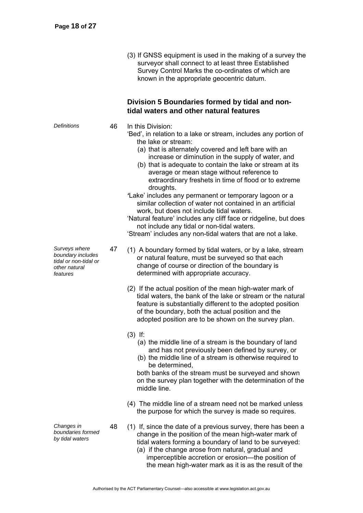(3) If GNSS equipment is used in the making of a survey the surveyor shall connect to at least three Established Survey Control Marks the co-ordinates of which are known in the appropriate geocentric datum.

## **Division 5 Boundaries formed by tidal and nontidal waters and other natural features**

*Definitions* 46 In this Division:

- 'Bed', in relation to a lake or stream, includes any portion of the lake or stream:
	- (a) that is alternately covered and left bare with an increase or diminution in the supply of water, and
	- (b) that is adequate to contain the lake or stream at its average or mean stage without reference to extraordinary freshets in time of flood or to extreme droughts.
- *'*Lake' includes any permanent or temporary lagoon or a similar collection of water not contained in an artificial work, but does not include tidal waters.

'Natural feature' includes any cliff face or ridgeline, but does not include any tidal or non-tidal waters.

'Stream' includes any non-tidal waters that are not a lake.

- 47 (1) A boundary formed by tidal waters, or by a lake, stream or natural feature, must be surveyed so that each change of course or direction of the boundary is determined with appropriate accuracy.
	- (2) If the actual position of the mean high-water mark of tidal waters, the bank of the lake or stream or the natural feature is substantially different to the adopted position of the boundary, both the actual position and the adopted position are to be shown on the survey plan.
	- (3) If:
		- (a) the middle line of a stream is the boundary of land and has not previously been defined by survey, or
		- (b) the middle line of a stream is otherwise required to be determined,

both banks of the stream must be surveyed and shown on the survey plan together with the determination of the middle line.

- (4) The middle line of a stream need not be marked unless the purpose for which the survey is made so requires.
- 48 (1) If, since the date of a previous survey, there has been a change in the position of the mean high-water mark of tidal waters forming a boundary of land to be surveyed:
	- (a) if the change arose from natural, gradual and imperceptible accretion or erosion—the position of the mean high-water mark as it is as the result of the

*Surveys where boundary includes tidal or non-tidal or other natural features* 

*Changes in boundaries formed by tidal waters*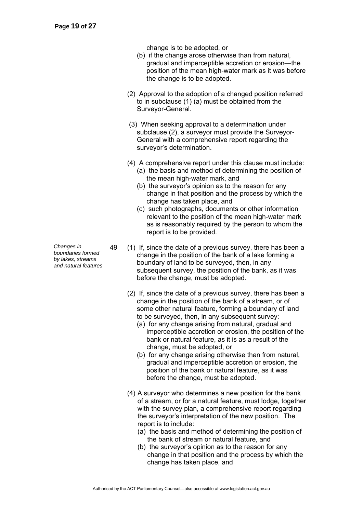change is to be adopted, or

- (b) if the change arose otherwise than from natural, gradual and imperceptible accretion or erosion—the position of the mean high-water mark as it was before the change is to be adopted.
- (2) Approval to the adoption of a changed position referred to in subclause (1) (a) must be obtained from the Surveyor-General.
- (3) When seeking approval to a determination under subclause (2), a surveyor must provide the Surveyor-General with a comprehensive report regarding the surveyor's determination.
- (4) A comprehensive report under this clause must include:
	- (a) the basis and method of determining the position of the mean high-water mark, and
	- (b) the surveyor's opinion as to the reason for any change in that position and the process by which the change has taken place, and
	- (c) such photographs, documents or other information relevant to the position of the mean high-water mark as is reasonably required by the person to whom the report is to be provided.
- 49 (1) If, since the date of a previous survey, there has been a change in the position of the bank of a lake forming a boundary of land to be surveyed, then, in any subsequent survey, the position of the bank, as it was before the change, must be adopted.
	- (2) If, since the date of a previous survey, there has been a change in the position of the bank of a stream, or of some other natural feature, forming a boundary of land to be surveyed, then, in any subsequent survey:
		- (a) for any change arising from natural, gradual and imperceptible accretion or erosion, the position of the bank or natural feature, as it is as a result of the change, must be adopted, or
		- (b) for any change arising otherwise than from natural, gradual and imperceptible accretion or erosion, the position of the bank or natural feature, as it was before the change, must be adopted.
	- (4) A surveyor who determines a new position for the bank of a stream, or for a natural feature, must lodge, together with the survey plan, a comprehensive report regarding the surveyor's interpretation of the new position. The report is to include:
		- (a) the basis and method of determining the position of the bank of stream or natural feature, and
		- (b) the surveyor's opinion as to the reason for any change in that position and the process by which the change has taken place, and

*Changes in boundaries formed by lakes, streams and natural features*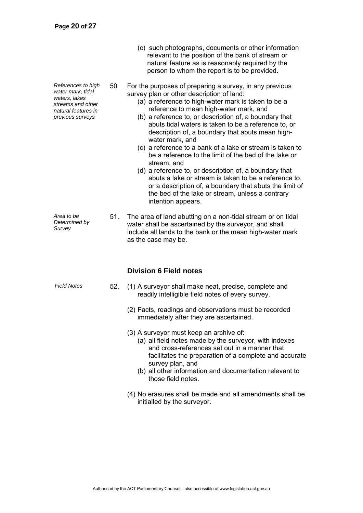*References to high water mark, tidal waters, lakes streams and other natural features in previous surveys* 

natural feature as is reasonably required by the person to whom the report is to be provided. 50 For the purposes of preparing a survey, in any previous

(c) such photographs, documents or other information relevant to the position of the bank of stream or

survey plan or other description of land:

- (a) a reference to high-water mark is taken to be a reference to mean high-water mark, and
- (b) a reference to, or description of, a boundary that abuts tidal waters is taken to be a reference to, or description of, a boundary that abuts mean highwater mark, and
- (c) a reference to a bank of a lake or stream is taken to be a reference to the limit of the bed of the lake or stream, and
- (d) a reference to, or description of, a boundary that abuts a lake or stream is taken to be a reference to, or a description of, a boundary that abuts the limit of the bed of the lake or stream, unless a contrary intention appears.

*Area to be Determined by Survey*  51. The area of land abutting on a non-tidal stream or on tidal water shall be ascertained by the surveyor, and shall include all lands to the bank or the mean high-water mark as the case may be.

## **Division 6 Field notes**

- *Field Notes* 52. (1) A surveyor shall make neat, precise, complete and readily intelligible field notes of every survey.
	- (2) Facts, readings and observations must be recorded immediately after they are ascertained.
	- (3) A surveyor must keep an archive of:
		- (a) all field notes made by the surveyor, with indexes and cross-references set out in a manner that facilitates the preparation of a complete and accurate survey plan, and
		- (b) all other information and documentation relevant to those field notes.
	- (4) No erasures shall be made and all amendments shall be initialled by the surveyor.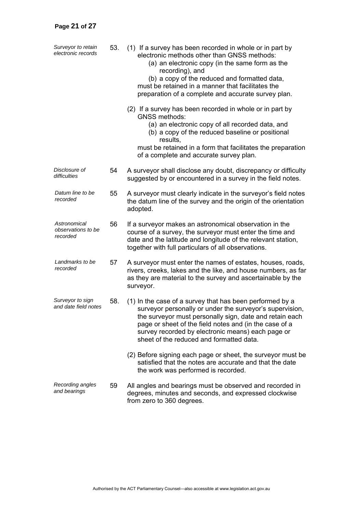| Surveyor to retain<br>electronic records       | 53. | (1) If a survey has been recorded in whole or in part by<br>electronic methods other than GNSS methods:<br>(a) an electronic copy (in the same form as the<br>recording), and<br>(b) a copy of the reduced and formatted data,<br>must be retained in a manner that facilitates the<br>preparation of a complete and accurate survey plan. |  |  |  |  |  |
|------------------------------------------------|-----|--------------------------------------------------------------------------------------------------------------------------------------------------------------------------------------------------------------------------------------------------------------------------------------------------------------------------------------------|--|--|--|--|--|
|                                                |     | (2) If a survey has been recorded in whole or in part by<br><b>GNSS methods:</b><br>(a) an electronic copy of all recorded data, and<br>(b) a copy of the reduced baseline or positional<br>results,<br>must be retained in a form that facilitates the preparation<br>of a complete and accurate survey plan.                             |  |  |  |  |  |
| Disclosure of<br>difficulties                  | 54  | A surveyor shall disclose any doubt, discrepancy or difficulty<br>suggested by or encountered in a survey in the field notes.                                                                                                                                                                                                              |  |  |  |  |  |
| Datum line to be<br>recorded                   | 55  | A surveyor must clearly indicate in the surveyor's field notes<br>the datum line of the survey and the origin of the orientation<br>adopted.                                                                                                                                                                                               |  |  |  |  |  |
| Astronomical<br>observations to be<br>recorded | 56  | If a surveyor makes an astronomical observation in the<br>course of a survey, the surveyor must enter the time and<br>date and the latitude and longitude of the relevant station,<br>together with full particulars of all observations.                                                                                                  |  |  |  |  |  |
| Landmarks to be<br>recorded                    | 57  | A surveyor must enter the names of estates, houses, roads,<br>rivers, creeks, lakes and the like, and house numbers, as far<br>as they are material to the survey and ascertainable by the<br>surveyor.                                                                                                                                    |  |  |  |  |  |
| Surveyor to sign<br>and date field notes       | 58. | (1) In the case of a survey that has been performed by a<br>surveyor personally or under the surveyor's supervision,<br>the surveyor must personally sign, date and retain each<br>page or sheet of the field notes and (in the case of a<br>survey recorded by electronic means) each page or<br>sheet of the reduced and formatted data. |  |  |  |  |  |
|                                                |     | (2) Before signing each page or sheet, the surveyor must be<br>satisfied that the notes are accurate and that the date<br>the work was performed is recorded.                                                                                                                                                                              |  |  |  |  |  |
| Recording angles<br>and bearings               | 59  | All angles and bearings must be observed and recorded in<br>degrees, minutes and seconds, and expressed clockwise<br>from zero to 360 degrees.                                                                                                                                                                                             |  |  |  |  |  |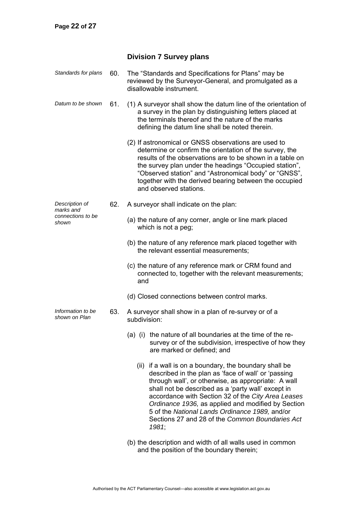## **Division 7 Survey plans**

| Standards for plans                | 60. | The "Standards and Specifications for Plans" may be<br>reviewed by the Surveyor-General, and promulgated as a<br>disallowable instrument.                                                                                                                                                                                                                                                                                                            |  |  |  |  |
|------------------------------------|-----|------------------------------------------------------------------------------------------------------------------------------------------------------------------------------------------------------------------------------------------------------------------------------------------------------------------------------------------------------------------------------------------------------------------------------------------------------|--|--|--|--|
| Datum to be shown                  | 61. | (1) A surveyor shall show the datum line of the orientation of<br>a survey in the plan by distinguishing letters placed at<br>the terminals thereof and the nature of the marks<br>defining the datum line shall be noted therein.                                                                                                                                                                                                                   |  |  |  |  |
|                                    |     | (2) If astronomical or GNSS observations are used to<br>determine or confirm the orientation of the survey, the<br>results of the observations are to be shown in a table on<br>the survey plan under the headings "Occupied station",<br>"Observed station" and "Astronomical body" or "GNSS",<br>together with the derived bearing between the occupied<br>and observed stations.                                                                  |  |  |  |  |
| Description of<br>marks and        | 62. | A surveyor shall indicate on the plan:                                                                                                                                                                                                                                                                                                                                                                                                               |  |  |  |  |
| connections to be<br>shown         |     | (a) the nature of any corner, angle or line mark placed<br>which is not a peg;                                                                                                                                                                                                                                                                                                                                                                       |  |  |  |  |
|                                    |     | (b) the nature of any reference mark placed together with<br>the relevant essential measurements;                                                                                                                                                                                                                                                                                                                                                    |  |  |  |  |
|                                    |     | (c) the nature of any reference mark or CRM found and<br>connected to, together with the relevant measurements;<br>and                                                                                                                                                                                                                                                                                                                               |  |  |  |  |
|                                    |     | (d) Closed connections between control marks.                                                                                                                                                                                                                                                                                                                                                                                                        |  |  |  |  |
| Information to be<br>shown on Plan | 63. | A surveyor shall show in a plan of re-survey or of a<br>subdivision:                                                                                                                                                                                                                                                                                                                                                                                 |  |  |  |  |
|                                    |     | (a) (i) the nature of all boundaries at the time of the re-<br>survey or of the subdivision, irrespective of how they<br>are marked or defined; and                                                                                                                                                                                                                                                                                                  |  |  |  |  |
|                                    |     | (ii) if a wall is on a boundary, the boundary shall be<br>described in the plan as 'face of wall' or 'passing<br>through wall', or otherwise, as appropriate: A wall<br>shall not be described as a 'party wall' except in<br>accordance with Section 32 of the City Area Leases<br>Ordinance 1936, as applied and modified by Section<br>5 of the National Lands Ordinance 1989, and/or<br>Sections 27 and 28 of the Common Boundaries Act<br>1981; |  |  |  |  |
|                                    |     | (b) the description and width of all walls used in common                                                                                                                                                                                                                                                                                                                                                                                            |  |  |  |  |

and the position of the boundary therein;

Authorised by the ACT Parliamentary Counsel—also accessible at www.legislation.act.gov.au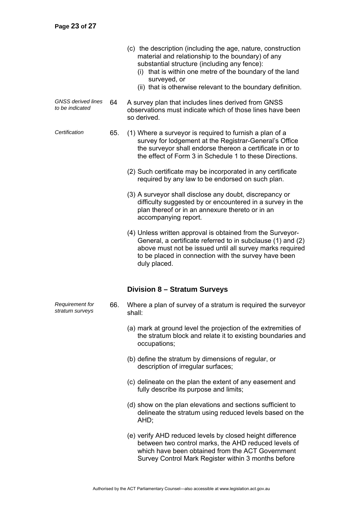- (c) the description (including the age, nature, construction material and relationship to the boundary) of any substantial structure (including any fence):
	- (i) that is within one metre of the boundary of the land surveyed, or
	- (ii) that is otherwise relevant to the boundary definition.
- *GNSS derived lines to be indicated* 64 A survey plan that includes lines derived from GNSS observations must indicate which of those lines have been so derived.
- *Certification* 65. (1) Where a surveyor is required to furnish a plan of a survey for lodgement at the Registrar-General's Office the surveyor shall endorse thereon a certificate in or to the effect of Form 3 in Schedule 1 to these Directions.
	- (2) Such certificate may be incorporated in any certificate required by any law to be endorsed on such plan.
	- (3) A surveyor shall disclose any doubt, discrepancy or difficulty suggested by or encountered in a survey in the plan thereof or in an annexure thereto or in an accompanying report.
	- (4) Unless written approval is obtained from the Surveyor-General, a certificate referred to in subclause (1) and (2) above must not be issued until all survey marks required to be placed in connection with the survey have been duly placed.

## **Division 8 – Stratum Surveys**

- 66. Where a plan of survey of a stratum is required the surveyor shall:
	- (a) mark at ground level the projection of the extremities of the stratum block and relate it to existing boundaries and occupations;
	- (b) define the stratum by dimensions of regular, or description of irregular surfaces;
	- (c) delineate on the plan the extent of any easement and fully describe its purpose and limits;
	- (d) show on the plan elevations and sections sufficient to delineate the stratum using reduced levels based on the AHD;
	- (e) verify AHD reduced levels by closed height difference between two control marks, the AHD reduced levels of which have been obtained from the ACT Government Survey Control Mark Register within 3 months before

*Requirement for stratum surveys*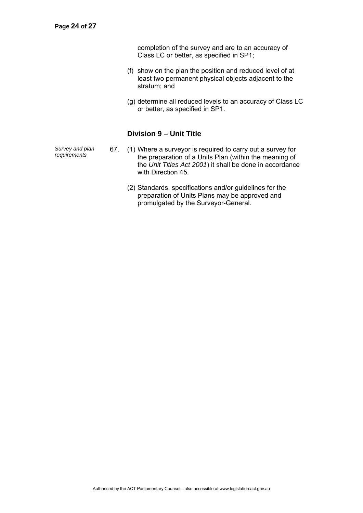completion of the survey and are to an accuracy of Class LC or better, as specified in SP1;

- (f) show on the plan the position and reduced level of at least two permanent physical objects adjacent to the stratum; and
- (g) determine all reduced levels to an accuracy of Class LC or better, as specified in SP1.

## **Division 9 – Unit Title**

*Survey and plan* 

- 67. (1) Where a surveyor is required to carry out a survey for the preparation of a Units Plan (within the meaning of the *Unit Titles Act 2001*) it shall be done in accordance with Direction 45.
	- (2) Standards, specifications and/or guidelines for the preparation of Units Plans may be approved and promulgated by the Surveyor-General.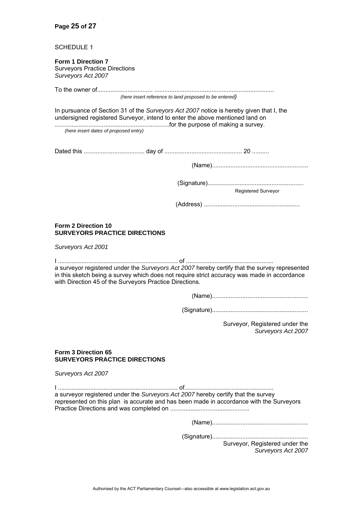#### **Page 25 of 27**

#### SCHEDULE 1

#### **Form 1 Direction 7**  Surveyors Practice Directions *Surveyors Act 2007*

To the owner of................................. ....................................................................... *(here insert reference to land proposed to be entered)* 

In pursuance of Section 31 of the *Surveyors Act 2007* notice is hereby given that I, the undersigned registered Surveyor, intend to enter the above mentioned land on ....................................................................for the purpose of making a survey.

*(here insert dates of proposed entry)*

Dated this .................................... day of .............................................. 20 ..........

(Name).........................................................

(Signature).........................................................

Registered Surveyor

(Address) .........................................................

#### **Form 2 Direction 10 SURVEYORS PRACTICE DIRECTIONS**

*Surveyors Act 2001* 

I ....................................................................... of .................................................... a surveyor registered under the *Surveyors Act 2007* hereby certify that the survey represented in this sketch being a survey which does not require strict accuracy was made in accordance with Direction 45 of the Surveyors Practice Directions.

(Name).........................................................

(Signature).........................................................

Surveyor, Registered under the *Surveyors Act 2007* 

#### **Form 3 Direction 65 SURVEYORS PRACTICE DIRECTIONS**

*Surveyors Act 2007* 

I ....................................................................... of..................................................... a surveyor registered under the *Surveyors Act 2007* hereby certify that the survey represented on this plan is accurate and has been made in accordance with the Surveyors Practice Directions and was completed on ...............................................

(Name).........................................................

(Signature)......................................................... Surveyor, Registered under the *Surveyors Act 2007* 

Authorised by the ACT Parliamentary Counsel—also accessible at www.legislation.act.gov.au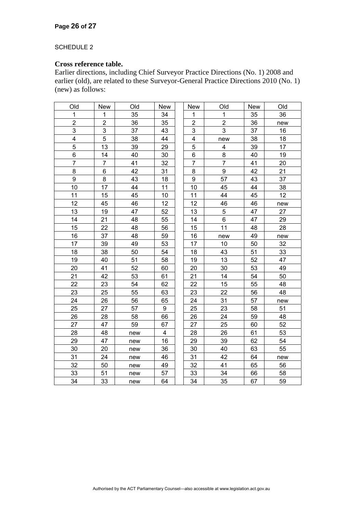## SCHEDULE 2

## **Cross reference table.**

Earlier directions, including Chief Surveyor Practice Directions (No. 1) 2008 and earlier (old), are related to these Surveyor-General Practice Directions 2010 (No. 1) (new) as follows:

| Old            | <b>New</b>     | Old | New                     | <b>New</b>               | Old            | <b>New</b> | Old |
|----------------|----------------|-----|-------------------------|--------------------------|----------------|------------|-----|
| 1              | 1              | 35  | 34                      | 1                        | 1              | 35         | 36  |
| $\overline{c}$ | $\overline{c}$ | 36  | 35                      | 2                        | $\overline{2}$ | 36         | new |
| 3              | $\mathsf 3$    | 37  | 43                      | 3                        | 3              | 37         | 16  |
| 4              | 5              | 38  | 44                      | 4                        | new            | 38         | 18  |
| 5              | 13             | 39  | 29                      | 5                        | 4              | 39         | 17  |
| 6              | 14             | 40  | 30                      | 6                        | 8              | 40         | 19  |
| $\overline{7}$ | $\overline{7}$ | 41  | 32                      | $\overline{\mathcal{I}}$ | $\overline{7}$ | 41         | 20  |
| 8              | 6              | 42  | 31                      | 8                        | $\overline{9}$ | 42         | 21  |
| 9              | 8              | 43  | 18                      | 9                        | 57             | 43         | 37  |
| 10             | 17             | 44  | 11                      | 10                       | 45             | 44         | 38  |
| 11             | 15             | 45  | 10                      | 11                       | 44             | 45         | 12  |
| 12             | 45             | 46  | 12                      | 12                       | 46             | 46         | new |
| 13             | 19             | 47  | 52                      | 13                       | 5              | 47         | 27  |
| 14             | 21             | 48  | 55                      | 14                       | 6              | 47         | 29  |
| 15             | 22             | 48  | 56                      | 15                       | 11             | 48         | 28  |
| 16             | 37             | 48  | 59                      | 16                       | new            | 49         | new |
| 17             | 39             | 49  | 53                      | 17                       | 10             | 50         | 32  |
| 18             | 38             | 50  | 54                      | 18                       | 43             | 51         | 33  |
| 19             | 40             | 51  | 58                      | 19                       | 13             | 52         | 47  |
| 20             | 41             | 52  | 60                      | 20                       | 30             | 53         | 49  |
| 21             | 42             | 53  | 61                      | 21                       | 14             | 54         | 50  |
| 22             | 23             | 54  | 62                      | 22                       | 15             | 55         | 48  |
| 23             | 25             | 55  | 63                      | 23                       | 22             | 56         | 48  |
| 24             | 26             | 56  | 65                      | 24                       | 31             | 57         | new |
| 25             | 27             | 57  | 9                       | 25                       | 23             | 58         | 51  |
| 26             | 28             | 58  | 66                      | 26                       | 24             | 59         | 48  |
| 27             | 47             | 59  | 67                      | 27                       | 25             | 60         | 52  |
| 28             | 48             | new | $\overline{\mathbf{4}}$ | 28                       | 26             | 61         | 53  |
| 29             | 47             | new | 16                      | 29                       | 39             | 62         | 54  |
| 30             | 20             | new | 36                      | 30                       | 40             | 63         | 55  |
| 31             | 24             | new | 46                      | 31                       | 42             | 64         | new |
| 32             | 50             | new | 49                      | 32                       | 41             | 65         | 56  |
| 33             | 51             | new | 57                      | 33                       | 34             | 66         | 58  |
| 34             | 33             | new | 64                      | 34                       | 35             | 67         | 59  |